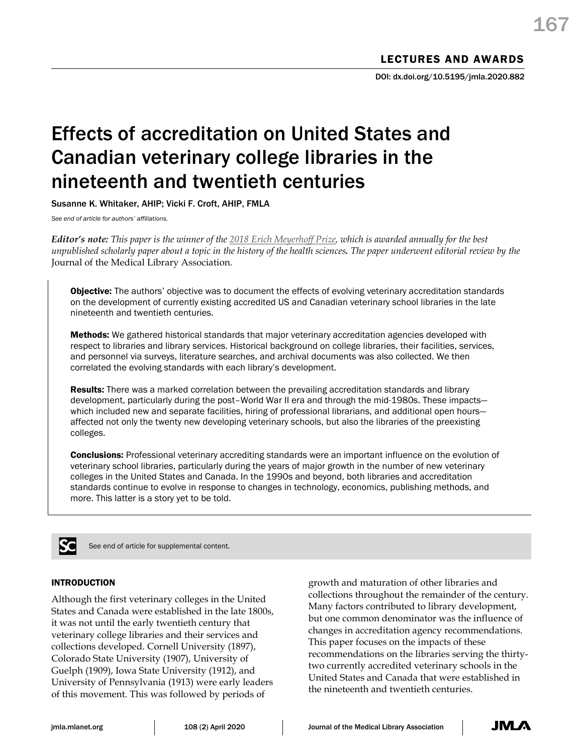## Effects of accreditation on United States and Canadian veterinary college libraries in the nineteenth and twentieth centuries

Susanne K. Whitaker, AHIP; Vicki F. Croft, AHIP, FMLA

*See end of article for authors' affiliations.*

*Editor's note: This paper is the winner of the [2018 Erich Meyerhoff Prize,](https://www.mlanet.org/page/meyerhoff-prize) which is awarded annually for the best unpublished scholarly paper about a topic in the history of the health sciences. The paper underwent editorial review by the*  Journal of the Medical Library Association.

**Objective:** The authors' objective was to document the effects of evolving veterinary accreditation standards on the development of currently existing accredited US and Canadian veterinary school libraries in the late nineteenth and twentieth centuries.

Methods: We gathered historical standards that major veterinary accreditation agencies developed with respect to libraries and library services. Historical background on college libraries, their facilities, services, and personnel via surveys, literature searches, and archival documents was also collected. We then correlated the evolving standards with each library's development.

**Results:** There was a marked correlation between the prevailing accreditation standards and library development, particularly during the post–World War II era and through the mid-1980s. These impacts which included new and separate facilities, hiring of professional librarians, and additional open hoursaffected not only the twenty new developing veterinary schools, but also the libraries of the preexisting colleges.

**Conclusions:** Professional veterinary accrediting standards were an important influence on the evolution of veterinary school libraries, particularly during the years of major growth in the number of new veterinary colleges in the United States and Canada. In the 1990s and beyond, both libraries and accreditation standards continue to evolve in response to changes in technology, economics, publishing methods, and more. This latter is a story yet to be told.



See end of article for supplemental content.

## INTRODUCTION

Although the first veterinary colleges in the United States and Canada were established in the late 1800s, it was not until the early twentieth century that veterinary college libraries and their services and collections developed. Cornell University (1897), Colorado State University (1907), University of Guelph (1909), Iowa State University (1912), and University of Pennsylvania (1913) were early leaders of this movement. This was followed by periods of

growth and maturation of other libraries and collections throughout the remainder of the century. Many factors contributed to library development, but one common denominator was the influence of changes in accreditation agency recommendations. This paper focuses on the impacts of these recommendations on the libraries serving the thirtytwo currently accredited veterinary schools in the United States and Canada that were established in the nineteenth and twentieth centuries.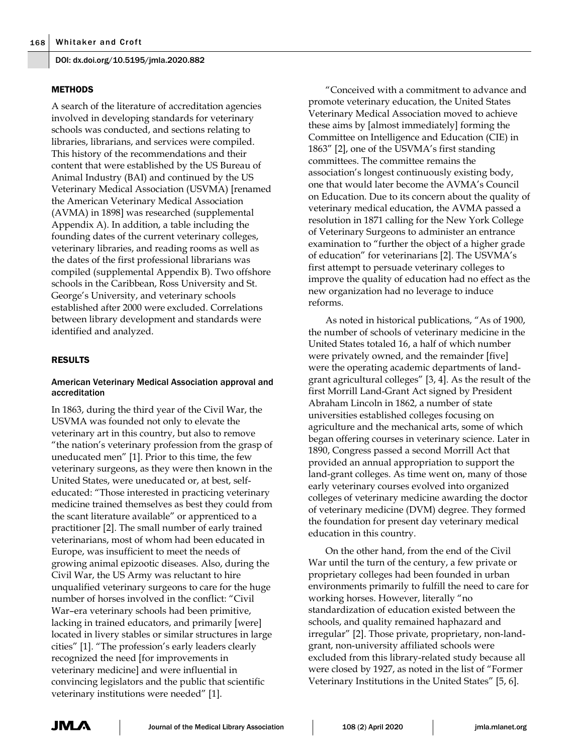## **METHODS**

A search of the literature of accreditation agencies involved in developing standards for veterinary schools was conducted, and sections relating to libraries, librarians, and services were compiled. This history of the recommendations and their content that were established by the US Bureau of Animal Industry (BAI) and continued by the US Veterinary Medical Association (USVMA) [renamed the American Veterinary Medical Association (AVMA) in 1898] was researched (supplemental Appendix A). In addition, a table including the founding dates of the current veterinary colleges, veterinary libraries, and reading rooms as well as the dates of the first professional librarians was compiled (supplemental Appendix B). Two offshore schools in the Caribbean, Ross University and St. George's University, and veterinary schools established after 2000 were excluded. Correlations between library development and standards were identified and analyzed.

## RESULTS

## American Veterinary Medical Association approval and accreditation

In 1863, during the third year of the Civil War, the USVMA was founded not only to elevate the veterinary art in this country, but also to remove "the nation's veterinary profession from the grasp of uneducated men" [1]. Prior to this time, the few veterinary surgeons, as they were then known in the United States, were uneducated or, at best, selfeducated: "Those interested in practicing veterinary medicine trained themselves as best they could from the scant literature available" or apprenticed to a practitioner [2]. The small number of early trained veterinarians, most of whom had been educated in Europe, was insufficient to meet the needs of growing animal epizootic diseases. Also, during the Civil War, the US Army was reluctant to hire unqualified veterinary surgeons to care for the huge number of horses involved in the conflict: "Civil War–era veterinary schools had been primitive, lacking in trained educators, and primarily [were] located in livery stables or similar structures in large cities" [1]. "The profession's early leaders clearly recognized the need [for improvements in veterinary medicine] and were influential in convincing legislators and the public that scientific veterinary institutions were needed" [1].

"Conceived with a commitment to advance and promote veterinary education, the United States Veterinary Medical Association moved to achieve these aims by [almost immediately] forming the Committee on Intelligence and Education (CIE) in 1863" [2], one of the USVMA's first standing committees. The committee remains the association's longest continuously existing body, one that would later become the AVMA's Council on Education. Due to its concern about the quality of veterinary medical education, the AVMA passed a resolution in 1871 calling for the New York College of Veterinary Surgeons to administer an entrance examination to "further the object of a higher grade of education" for veterinarians [2]. The USVMA's first attempt to persuade veterinary colleges to improve the quality of education had no effect as the new organization had no leverage to induce reforms.

As noted in historical publications, "As of 1900, the number of schools of veterinary medicine in the United States totaled 16, a half of which number were privately owned, and the remainder [five] were the operating academic departments of landgrant agricultural colleges" [3, 4]. As the result of the first Morrill Land-Grant Act signed by President Abraham Lincoln in 1862, a number of state universities established colleges focusing on agriculture and the mechanical arts, some of which began offering courses in veterinary science. Later in 1890, Congress passed a second Morrill Act that provided an annual appropriation to support the land-grant colleges. As time went on, many of those early veterinary courses evolved into organized colleges of veterinary medicine awarding the doctor of veterinary medicine (DVM) degree. They formed the foundation for present day veterinary medical education in this country.

On the other hand, from the end of the Civil War until the turn of the century, a few private or proprietary colleges had been founded in urban environments primarily to fulfill the need to care for working horses. However, literally "no standardization of education existed between the schools, and quality remained haphazard and irregular" [2]. Those private, proprietary, non-landgrant, non-university affiliated schools were excluded from this library-related study because all were closed by 1927, as noted in the list of "Former Veterinary Institutions in the United States" [5, 6].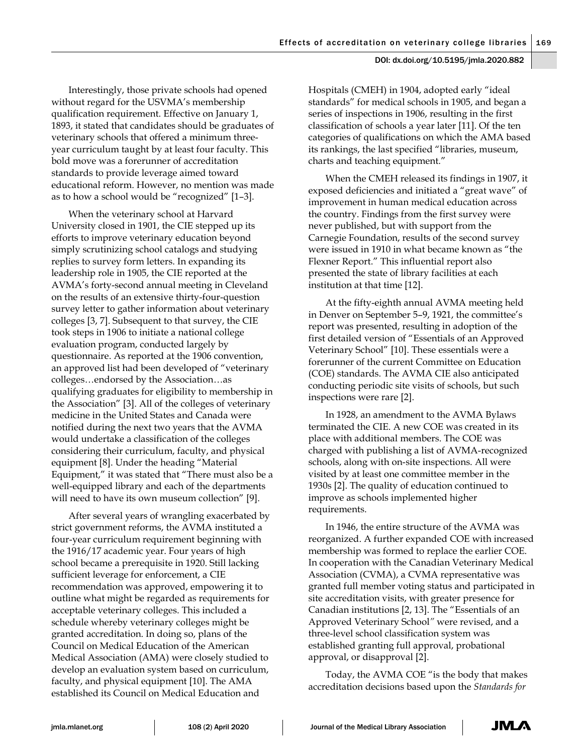Interestingly, those private schools had opened without regard for the USVMA's membership qualification requirement. Effective on January 1, 1893, it stated that candidates should be graduates of veterinary schools that offered a minimum threeyear curriculum taught by at least four faculty. This bold move was a forerunner of accreditation standards to provide leverage aimed toward educational reform. However, no mention was made as to how a school would be "recognized" [1–3].

When the veterinary school at Harvard University closed in 1901, the CIE stepped up its efforts to improve veterinary education beyond simply scrutinizing school catalogs and studying replies to survey form letters. In expanding its leadership role in 1905, the CIE reported at the AVMA's forty-second annual meeting in Cleveland on the results of an extensive thirty-four-question survey letter to gather information about veterinary colleges [3, 7]. Subsequent to that survey, the CIE took steps in 1906 to initiate a national college evaluation program, conducted largely by questionnaire. As reported at the 1906 convention, an approved list had been developed of "veterinary colleges…endorsed by the Association…as qualifying graduates for eligibility to membership in the Association" [3]. All of the colleges of veterinary medicine in the United States and Canada were notified during the next two years that the AVMA would undertake a classification of the colleges considering their curriculum, faculty, and physical equipment [8]. Under the heading "Material Equipment," it was stated that "There must also be a well-equipped library and each of the departments will need to have its own museum collection" [9].

After several years of wrangling exacerbated by strict government reforms, the AVMA instituted a four-year curriculum requirement beginning with the 1916/17 academic year. Four years of high school became a prerequisite in 1920. Still lacking sufficient leverage for enforcement, a CIE recommendation was approved, empowering it to outline what might be regarded as requirements for acceptable veterinary colleges. This included a schedule whereby veterinary colleges might be granted accreditation. In doing so, plans of the Council on Medical Education of the American Medical Association (AMA) were closely studied to develop an evaluation system based on curriculum, faculty, and physical equipment [10]. The AMA established its Council on Medical Education and

Hospitals (CMEH) in 1904, adopted early "ideal standards" for medical schools in 1905, and began a series of inspections in 1906, resulting in the first classification of schools a year later [11]. Of the ten categories of qualifications on which the AMA based its rankings, the last specified "libraries, museum, charts and teaching equipment."

When the CMEH released its findings in 1907, it exposed deficiencies and initiated a "great wave" of improvement in human medical education across the country. Findings from the first survey were never published, but with support from the Carnegie Foundation, results of the second survey were issued in 1910 in what became known as "the Flexner Report." This influential report also presented the state of library facilities at each institution at that time [12].

At the fifty-eighth annual AVMA meeting held in Denver on September 5–9, 1921, the committee's report was presented, resulting in adoption of the first detailed version of "Essentials of an Approved Veterinary School" [10]. These essentials were a forerunner of the current Committee on Education (COE) standards. The AVMA CIE also anticipated conducting periodic site visits of schools, but such inspections were rare [2].

In 1928, an amendment to the AVMA Bylaws terminated the CIE. A new COE was created in its place with additional members. The COE was charged with publishing a list of AVMA-recognized schools, along with on-site inspections. All were visited by at least one committee member in the 1930s [2]. The quality of education continued to improve as schools implemented higher requirements.

In 1946, the entire structure of the AVMA was reorganized. A further expanded COE with increased membership was formed to replace the earlier COE. In cooperation with the Canadian Veterinary Medical Association (CVMA), a CVMA representative was granted full member voting status and participated in site accreditation visits, with greater presence for Canadian institutions [2, 13]. The "Essentials of an Approved Veterinary School*"* were revised, and a three-level school classification system was established granting full approval, probational approval, or disapproval [2].

Today, the AVMA COE "is the body that makes accreditation decisions based upon the *Standards for*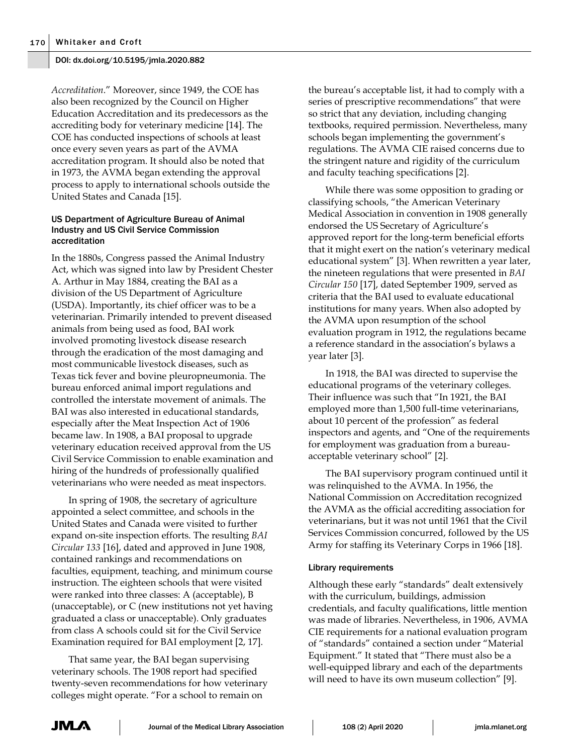*Accreditation*." Moreover, since 1949, the COE has also been recognized by the Council on Higher Education Accreditation and its predecessors as the accrediting body for veterinary medicine [14]. The COE has conducted inspections of schools at least once every seven years as part of the AVMA accreditation program. It should also be noted that in 1973, the AVMA began extending the approval process to apply to international schools outside the United States and Canada [15].

#### US Department of Agriculture Bureau of Animal Industry and US Civil Service Commission accreditation

In the 1880s, Congress passed the Animal Industry Act, which was signed into law by President Chester A. Arthur in May 1884, creating the BAI as a division of the US Department of Agriculture (USDA). Importantly, its chief officer was to be a veterinarian. Primarily intended to prevent diseased animals from being used as food, BAI work involved promoting livestock disease research through the eradication of the most damaging and most communicable livestock diseases, such as Texas tick fever and bovine pleuropneumonia. The bureau enforced animal import regulations and controlled the interstate movement of animals. The BAI was also interested in educational standards, especially after the Meat Inspection Act of 1906 became law. In 1908, a BAI proposal to upgrade veterinary education received approval from the US Civil Service Commission to enable examination and hiring of the hundreds of professionally qualified veterinarians who were needed as meat inspectors.

In spring of 1908, the secretary of agriculture appointed a select committee, and schools in the United States and Canada were visited to further expand on-site inspection efforts. The resulting *BAI Circular 133* [16], dated and approved in June 1908, contained rankings and recommendations on faculties, equipment, teaching, and minimum course instruction. The eighteen schools that were visited were ranked into three classes: A (acceptable), B (unacceptable), or C (new institutions not yet having graduated a class or unacceptable). Only graduates from class A schools could sit for the Civil Service Examination required for BAI employment [2, 17].

That same year, the BAI began supervising veterinary schools. The 1908 report had specified twenty-seven recommendations for how veterinary colleges might operate. "For a school to remain on

the bureau's acceptable list, it had to comply with a series of prescriptive recommendations" that were so strict that any deviation, including changing textbooks, required permission. Nevertheless, many schools began implementing the government's regulations. The AVMA CIE raised concerns due to the stringent nature and rigidity of the curriculum and faculty teaching specifications [2].

While there was some opposition to grading or classifying schools, "the American Veterinary Medical Association in convention in 1908 generally endorsed the US Secretary of Agriculture's approved report for the long-term beneficial efforts that it might exert on the nation's veterinary medical educational system" [3]. When rewritten a year later, the nineteen regulations that were presented in *BAI Circular 150* [17], dated September 1909, served as criteria that the BAI used to evaluate educational institutions for many years. When also adopted by the AVMA upon resumption of the school evaluation program in 1912, the regulations became a reference standard in the association's bylaws a year later [3].

In 1918, the BAI was directed to supervise the educational programs of the veterinary colleges. Their influence was such that "In 1921, the BAI employed more than 1,500 full-time veterinarians, about 10 percent of the profession" as federal inspectors and agents, and "One of the requirements for employment was graduation from a bureauacceptable veterinary school" [2].

The BAI supervisory program continued until it was relinquished to the AVMA. In 1956, the National Commission on Accreditation recognized the AVMA as the official accrediting association for veterinarians, but it was not until 1961 that the Civil Services Commission concurred, followed by the US Army for staffing its Veterinary Corps in 1966 [18].

## Library requirements

Although these early "standards" dealt extensively with the curriculum, buildings, admission credentials, and faculty qualifications, little mention was made of libraries. Nevertheless, in 1906, AVMA CIE requirements for a national evaluation program of "standards" contained a section under "Material Equipment." It stated that "There must also be a well-equipped library and each of the departments will need to have its own museum collection" [9].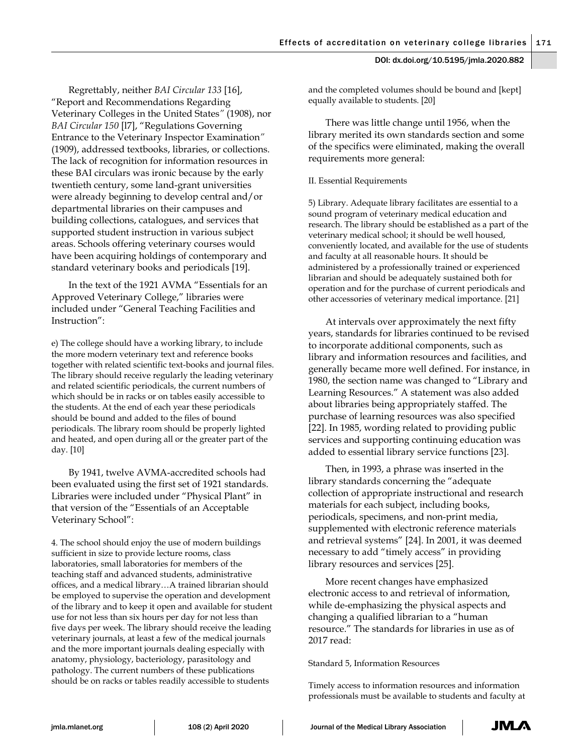Regrettably, neither *BAI Circular 133* [16], "Report and Recommendations Regarding Veterinary Colleges in the United States*"* (1908), nor *BAI Circular 150* [l7], "Regulations Governing Entrance to the Veterinary Inspector Examination*"* (1909), addressed textbooks, libraries, or collections. The lack of recognition for information resources in these BAI circulars was ironic because by the early twentieth century, some land-grant universities were already beginning to develop central and/or departmental libraries on their campuses and building collections, catalogues, and services that supported student instruction in various subject areas. Schools offering veterinary courses would have been acquiring holdings of contemporary and standard veterinary books and periodicals [19].

In the text of the 1921 AVMA "Essentials for an Approved Veterinary College," libraries were included under "General Teaching Facilities and Instruction":

e) The college should have a working library, to include the more modern veterinary text and reference books together with related scientific text-books and journal files. The library should receive regularly the leading veterinary and related scientific periodicals, the current numbers of which should be in racks or on tables easily accessible to the students. At the end of each year these periodicals should be bound and added to the files of bound periodicals. The library room should be properly lighted and heated, and open during all or the greater part of the day. [10]

By 1941, twelve AVMA-accredited schools had been evaluated using the first set of 1921 standards. Libraries were included under "Physical Plant" in that version of the "Essentials of an Acceptable Veterinary School":

4. The school should enjoy the use of modern buildings sufficient in size to provide lecture rooms, class laboratories, small laboratories for members of the teaching staff and advanced students, administrative offices, and a medical library…A trained librarian should be employed to supervise the operation and development of the library and to keep it open and available for student use for not less than six hours per day for not less than five days per week. The library should receive the leading veterinary journals, at least a few of the medical journals and the more important journals dealing especially with anatomy, physiology, bacteriology, parasitology and pathology. The current numbers of these publications should be on racks or tables readily accessible to students

and the completed volumes should be bound and [kept] equally available to students. [20]

There was little change until 1956, when the library merited its own standards section and some of the specifics were eliminated, making the overall requirements more general:

## II. Essential Requirements

5) Library. Adequate library facilitates are essential to a sound program of veterinary medical education and research. The library should be established as a part of the veterinary medical school; it should be well housed, conveniently located, and available for the use of students and faculty at all reasonable hours. It should be administered by a professionally trained or experienced librarian and should be adequately sustained both for operation and for the purchase of current periodicals and other accessories of veterinary medical importance. [21]

At intervals over approximately the next fifty years, standards for libraries continued to be revised to incorporate additional components, such as library and information resources and facilities, and generally became more well defined. For instance, in 1980, the section name was changed to "Library and Learning Resources." A statement was also added about libraries being appropriately staffed. The purchase of learning resources was also specified [22]. In 1985, wording related to providing public services and supporting continuing education was added to essential library service functions [23].

Then, in 1993, a phrase was inserted in the library standards concerning the "adequate collection of appropriate instructional and research materials for each subject, including books, periodicals, specimens, and non-print media, supplemented with electronic reference materials and retrieval systems" [24]. In 2001, it was deemed necessary to add "timely access" in providing library resources and services [25].

More recent changes have emphasized electronic access to and retrieval of information, while de-emphasizing the physical aspects and changing a qualified librarian to a "human resource." The standards for libraries in use as of 2017 read:

#### Standard 5, Information Resources

Timely access to information resources and information professionals must be available to students and faculty at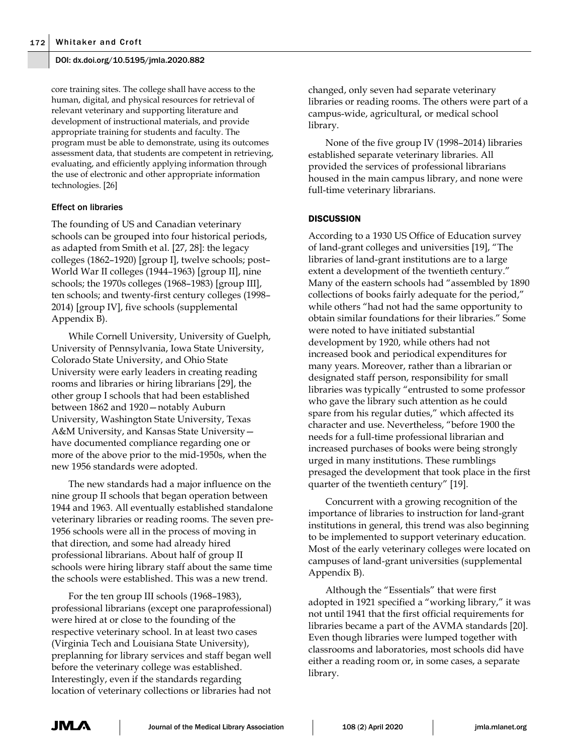core training sites. The college shall have access to the human, digital, and physical resources for retrieval of relevant veterinary and supporting literature and development of instructional materials, and provide appropriate training for students and faculty. The program must be able to demonstrate, using its outcomes assessment data, that students are competent in retrieving, evaluating, and efficiently applying information through the use of electronic and other appropriate information technologies. [26]

## Effect on libraries

The founding of US and Canadian veterinary schools can be grouped into four historical periods, as adapted from Smith et al. [27, 28]: the legacy colleges (1862–1920) [group I], twelve schools; post– World War II colleges (1944–1963) [group II], nine schools; the 1970s colleges (1968–1983) [group III], ten schools; and twenty-first century colleges (1998– 2014) [group IV], five schools (supplemental Appendix B).

While Cornell University, University of Guelph, University of Pennsylvania, Iowa State University, Colorado State University, and Ohio State University were early leaders in creating reading rooms and libraries or hiring librarians [29], the other group I schools that had been established between 1862 and 1920—notably Auburn University, Washington State University, Texas A&M University, and Kansas State University have documented compliance regarding one or more of the above prior to the mid-1950s, when the new 1956 standards were adopted.

The new standards had a major influence on the nine group II schools that began operation between 1944 and 1963. All eventually established standalone veterinary libraries or reading rooms. The seven pre-1956 schools were all in the process of moving in that direction, and some had already hired professional librarians. About half of group II schools were hiring library staff about the same time the schools were established. This was a new trend.

For the ten group III schools (1968–1983), professional librarians (except one paraprofessional) were hired at or close to the founding of the respective veterinary school. In at least two cases (Virginia Tech and Louisiana State University), preplanning for library services and staff began well before the veterinary college was established. Interestingly, even if the standards regarding location of veterinary collections or libraries had not

changed, only seven had separate veterinary libraries or reading rooms. The others were part of a campus-wide, agricultural, or medical school library.

None of the five group IV (1998–2014) libraries established separate veterinary libraries. All provided the services of professional librarians housed in the main campus library, and none were full-time veterinary librarians.

## **DISCUSSION**

According to a 1930 US Office of Education survey of land-grant colleges and universities [19], "The libraries of land-grant institutions are to a large extent a development of the twentieth century." Many of the eastern schools had "assembled by 1890 collections of books fairly adequate for the period," while others "had not had the same opportunity to obtain similar foundations for their libraries." Some were noted to have initiated substantial development by 1920, while others had not increased book and periodical expenditures for many years. Moreover, rather than a librarian or designated staff person, responsibility for small libraries was typically "entrusted to some professor who gave the library such attention as he could spare from his regular duties," which affected its character and use. Nevertheless, "before 1900 the needs for a full-time professional librarian and increased purchases of books were being strongly urged in many institutions. These rumblings presaged the development that took place in the first quarter of the twentieth century" [19].

Concurrent with a growing recognition of the importance of libraries to instruction for land-grant institutions in general, this trend was also beginning to be implemented to support veterinary education. Most of the early veterinary colleges were located on campuses of land-grant universities (supplemental Appendix B).

Although the "Essentials" that were first adopted in 1921 specified a "working library," it was not until 1941 that the first official requirements for libraries became a part of the AVMA standards [20]. Even though libraries were lumped together with classrooms and laboratories, most schools did have either a reading room or, in some cases, a separate library.

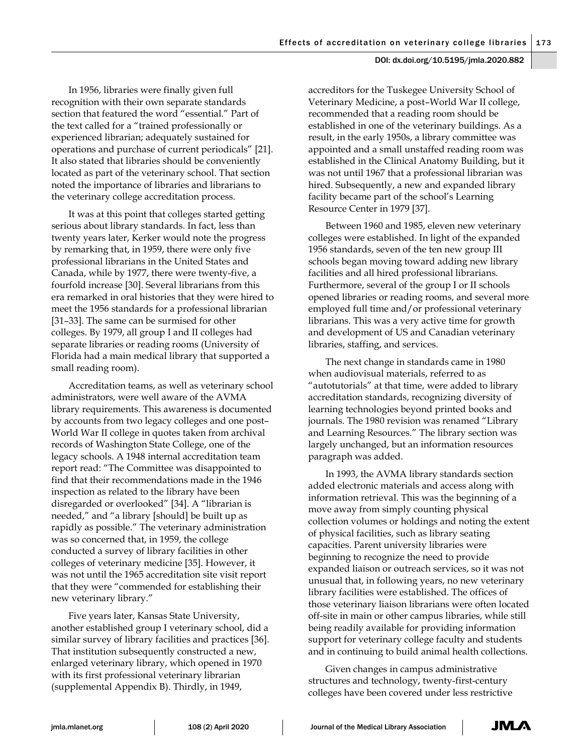In 1956, libraries were finally given full recognition with their own separate standards section that featured the word "essential." Part of the text called for a "trained professionally or experienced librarian; adequately sustained for operations and purchase of current periodicals" [21]. It also stated that libraries should be conveniently located as part of the veterinary school. That section noted the importance of libraries and librarians to the veterinary college accreditation process.

It was at this point that colleges started getting serious about library standards. In fact, less than twenty years later, Kerker would note the progress by remarking that, in 1959, there were only five professional librarians in the United States and Canada, while by 1977, there were twenty-five, a fourfold increase [30]. Several librarians from this era remarked in oral histories that they were hired to meet the 1956 standards for a professional librarian [31–33]. The same can be surmised for other colleges. By 1979, all group I and II colleges had separate libraries or reading rooms (University of Florida had a main medical library that supported a small reading room).

Accreditation teams, as well as veterinary school administrators, were well aware of the AVMA library requirements. This awareness is documented by accounts from two legacy colleges and one post– World War II college in quotes taken from archival records of Washington State College, one of the legacy schools. A 1948 internal accreditation team report read: "The Committee was disappointed to find that their recommendations made in the 1946 inspection as related to the library have been disregarded or overlooked" [34]. A "librarian is needed," and "a library [should] be built up as rapidly as possible." The veterinary administration was so concerned that, in 1959, the college conducted a survey of library facilities in other colleges of veterinary medicine [35]. However, it was not until the 1965 accreditation site visit report that they were "commended for establishing their new veterinary library."

Five years later, Kansas State University, another established group I veterinary school, did a similar survey of library facilities and practices [36]. That institution subsequently constructed a new, enlarged veterinary library, which opened in 1970 with its first professional veterinary librarian (supplemental Appendix B). Thirdly, in 1949,

accreditors for the Tuskegee University School of Veterinary Medicine, a post–World War II college, recommended that a reading room should be established in one of the veterinary buildings. As a result, in the early 1950s, a library committee was appointed and a small unstaffed reading room was established in the Clinical Anatomy Building, but it was not until 1967 that a professional librarian was hired. Subsequently, a new and expanded library facility became part of the school's Learning Resource Center in 1979 [37].

Between 1960 and 1985, eleven new veterinary colleges were established. In light of the expanded 1956 standards, seven of the ten new group III schools began moving toward adding new library facilities and all hired professional librarians. Furthermore, several of the group I or II schools opened libraries or reading rooms, and several more employed full time and/or professional veterinary librarians. This was a very active time for growth and development of US and Canadian veterinary libraries, staffing, and services.

The next change in standards came in 1980 when audiovisual materials, referred to as "autotutorials" at that time, were added to library accreditation standards, recognizing diversity of learning technologies beyond printed books and journals. The 1980 revision was renamed "Library and Learning Resources." The library section was largely unchanged, but an information resources paragraph was added.

In 1993, the AVMA library standards section added electronic materials and access along with information retrieval. This was the beginning of a move away from simply counting physical collection volumes or holdings and noting the extent of physical facilities, such as library seating capacities. Parent university libraries were beginning to recognize the need to provide expanded liaison or outreach services, so it was not unusual that, in following years, no new veterinary library facilities were established. The offices of those veterinary liaison librarians were often located off-site in main or other campus libraries, while still being readily available for providing information support for veterinary college faculty and students and in continuing to build animal health collections.

Given changes in campus administrative structures and technology, twenty-first-century colleges have been covered under less restrictive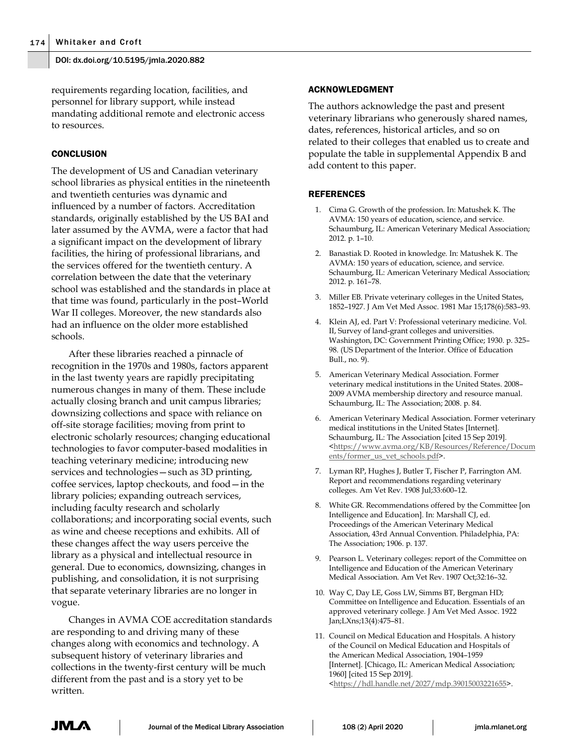requirements regarding location, facilities, and personnel for library support, while instead mandating additional remote and electronic access to resources.

#### **CONCLUSION**

The development of US and Canadian veterinary school libraries as physical entities in the nineteenth and twentieth centuries was dynamic and influenced by a number of factors. Accreditation standards, originally established by the US BAI and later assumed by the AVMA, were a factor that had a significant impact on the development of library facilities, the hiring of professional librarians, and the services offered for the twentieth century. A correlation between the date that the veterinary school was established and the standards in place at that time was found, particularly in the post–World War II colleges. Moreover, the new standards also had an influence on the older more established schools.

After these libraries reached a pinnacle of recognition in the 1970s and 1980s, factors apparent in the last twenty years are rapidly precipitating numerous changes in many of them. These include actually closing branch and unit campus libraries; downsizing collections and space with reliance on off-site storage facilities; moving from print to electronic scholarly resources; changing educational technologies to favor computer-based modalities in teaching veterinary medicine; introducing new services and technologies—such as 3D printing, coffee services, laptop checkouts, and food—in the library policies; expanding outreach services, including faculty research and scholarly collaborations; and incorporating social events, such as wine and cheese receptions and exhibits. All of these changes affect the way users perceive the library as a physical and intellectual resource in general. Due to economics, downsizing, changes in publishing, and consolidation, it is not surprising that separate veterinary libraries are no longer in vogue.

Changes in AVMA COE accreditation standards are responding to and driving many of these changes along with economics and technology. A subsequent history of veterinary libraries and collections in the twenty-first century will be much different from the past and is a story yet to be written.

#### ACKNOWLEDGMENT

The authors acknowledge the past and present veterinary librarians who generously shared names, dates, references, historical articles, and so on related to their colleges that enabled us to create and populate the table in supplemental Appendix B and add content to this paper.

#### REFERENCES

- 1. Cima G. Growth of the profession. In: Matushek K. The AVMA: 150 years of education, science, and service. Schaumburg, IL: American Veterinary Medical Association; 2012. p. 1–10.
- 2. Banastiak D. Rooted in knowledge. In: Matushek K. The AVMA: 150 years of education, science, and service. Schaumburg, IL: American Veterinary Medical Association; 2012. p. 161–78.
- 3. Miller EB. Private veterinary colleges in the United States, 1852–1927. J Am Vet Med Assoc. 1981 Mar 15;178(6):583–93.
- 4. Klein AJ, ed. Part V: Professional veterinary medicine. Vol. II, Survey of land-grant colleges and universities. Washington, DC: Government Printing Office; 1930. p. 325– 98. (US Department of the Interior. Office of Education Bull., no. 9).
- 5. American Veterinary Medical Association. Former veterinary medical institutions in the United States. 2008– 2009 AVMA membership directory and resource manual. Schaumburg, IL: The Association; 2008. p. 84.
- 6. American Veterinary Medical Association. Former veterinary medical institutions in the United States [Internet]. Schaumburg, IL: The Association [cited 15 Sep 2019]. [<https://www.avma.org/KB/Resources/Reference/Docum](https://www.avma.org/KB/Resources/Reference/Documents/former_us_vet_schools.pdf) [ents/former\\_us\\_vet\\_schools.pdf>](https://www.avma.org/KB/Resources/Reference/Documents/former_us_vet_schools.pdf).
- 7. Lyman RP, Hughes J, Butler T, Fischer P, Farrington AM. Report and recommendations regarding veterinary colleges. Am Vet Rev. 1908 Jul;33:600–12.
- 8. White GR. Recommendations offered by the Committee [on Intelligence and Education]. In: Marshall CJ, ed. Proceedings of the American Veterinary Medical Association, 43rd Annual Convention. Philadelphia, PA: The Association; 1906. p. 137.
- 9. Pearson L. Veterinary colleges: report of the Committee on Intelligence and Education of the American Veterinary Medical Association. Am Vet Rev. 1907 Oct;32:16–32.
- 10. Way C, Day LE, Goss LW, Simms BT, Bergman HD; Committee on Intelligence and Education. Essentials of an approved veterinary college. J Am Vet Med Assoc. 1922 Jan;LXns;13(4):475–81.
- 11. Council on Medical Education and Hospitals. A history of the Council on Medical Education and Hospitals of the American Medical Association, 1904–1959 [Internet]. [Chicago, IL: American Medical Association; 1960] [cited 15 Sep 2019]. [<https://hdl.handle.net/2027/mdp.39015003221655>](https://hdl.handle.net/2027/mdp.39015003221655).

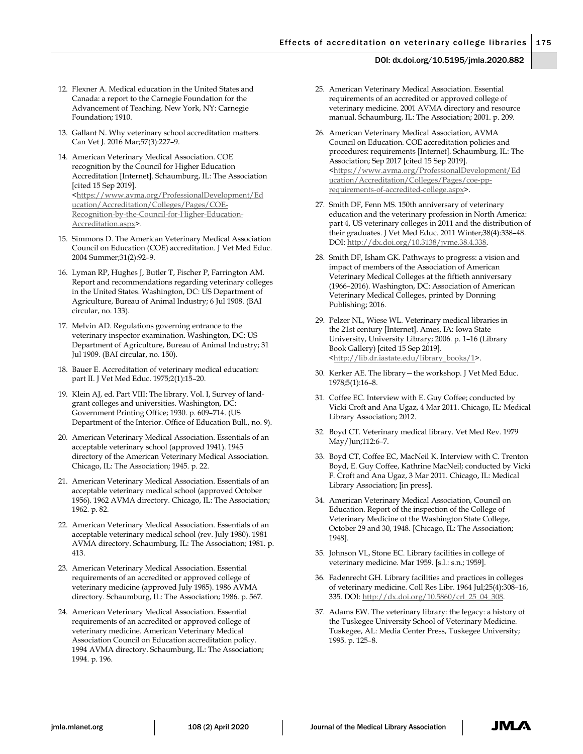- 12. Flexner A. Medical education in the United States and Canada: a report to the Carnegie Foundation for the Advancement of Teaching. New York, NY: Carnegie Foundation; 1910.
- 13. Gallant N. Why veterinary school accreditation matters. Can Vet J. 2016 Mar;57(3):227–9.
- 14. American Veterinary Medical Association. COE recognition by the Council for Higher Education Accreditation [Internet]. Schaumburg, IL: The Association [cited 15 Sep 2019]. [<https://www.avma.org/ProfessionalDevelopment/Ed](https://www.avma.org/ProfessionalDevelopment/Education/Accreditation/Colleges/Pages/COE-Recognition-by-the-Council-for-Higher-Education-Accreditation.aspx) [ucation/Accreditation/Colleges/Pages/COE-](https://www.avma.org/ProfessionalDevelopment/Education/Accreditation/Colleges/Pages/COE-Recognition-by-the-Council-for-Higher-Education-Accreditation.aspx)[Recognition-by-the-Council-for-Higher-Education-](https://www.avma.org/ProfessionalDevelopment/Education/Accreditation/Colleges/Pages/COE-Recognition-by-the-Council-for-Higher-Education-Accreditation.aspx)[Accreditation.aspx>](https://www.avma.org/ProfessionalDevelopment/Education/Accreditation/Colleges/Pages/COE-Recognition-by-the-Council-for-Higher-Education-Accreditation.aspx).
- 15. Simmons D. The American Veterinary Medical Association Council on Education (COE) accreditation. J Vet Med Educ. 2004 Summer;31(2):92–9.
- 16. Lyman RP, Hughes J, Butler T, Fischer P, Farrington AM. Report and recommendations regarding veterinary colleges in the United States. Washington, DC: US Department of Agriculture, Bureau of Animal Industry; 6 Jul 1908. (BAI circular, no. 133).
- 17. Melvin AD. Regulations governing entrance to the veterinary inspector examination. Washington, DC: US Department of Agriculture, Bureau of Animal Industry; 31 Jul 1909. (BAI circular, no. 150).
- 18. Bauer E. Accreditation of veterinary medical education: part II. J Vet Med Educ. 1975;2(1):15–20.
- 19. Klein AJ, ed. Part VIII: The library. Vol. I, Survey of landgrant colleges and universities. Washington, DC: Government Printing Office; 1930. p. 609–714. (US Department of the Interior. Office of Education Bull., no. 9).
- 20. American Veterinary Medical Association. Essentials of an acceptable veterinary school (approved 1941). 1945 directory of the American Veterinary Medical Association. Chicago, IL: The Association; 1945. p. 22.
- 21. American Veterinary Medical Association. Essentials of an acceptable veterinary medical school (approved October 1956). 1962 AVMA directory. Chicago, IL: The Association; 1962. p. 82.
- 22. American Veterinary Medical Association. Essentials of an acceptable veterinary medical school (rev. July 1980). 1981 AVMA directory. Schaumburg, IL: The Association; 1981. p. 413.
- 23. American Veterinary Medical Association. Essential requirements of an accredited or approved college of veterinary medicine (approved July 1985). 1986 AVMA directory. Schaumburg, IL: The Association; 1986. p. 567.
- 24. American Veterinary Medical Association. Essential requirements of an accredited or approved college of veterinary medicine. American Veterinary Medical Association Council on Education accreditation policy. 1994 AVMA directory. Schaumburg, IL: The Association; 1994. p. 196.
- 25. American Veterinary Medical Association. Essential requirements of an accredited or approved college of veterinary medicine. 2001 AVMA directory and resource manual. Schaumburg, IL: The Association; 2001. p. 209.
- 26. American Veterinary Medical Association, AVMA Council on Education. COE accreditation policies and procedures: requirements [Internet]. Schaumburg, IL: The Association; Sep 2017 [cited 15 Sep 2019]. [<https://www.avma.org/ProfessionalDevelopment/Ed](https://www.avma.org/ProfessionalDevelopment/Education/Accreditation/Colleges/Pages/coe-pp-requirements-of-accredited-college.aspx) [ucation/Accreditation/Colleges/Pages/coe-pp](https://www.avma.org/ProfessionalDevelopment/Education/Accreditation/Colleges/Pages/coe-pp-requirements-of-accredited-college.aspx)[requirements-of-accredited-college.aspx>](https://www.avma.org/ProfessionalDevelopment/Education/Accreditation/Colleges/Pages/coe-pp-requirements-of-accredited-college.aspx).
- 27. Smith DF, Fenn MS. 150th anniversary of veterinary education and the veterinary profession in North America: part 4, US veterinary colleges in 2011 and the distribution of their graduates. J Vet Med Educ. 2011 Winter;38(4):338–48. DOI: [http://dx.doi.org/10.3138/jvme.38.4.338.](http://dx.doi.org/10.3138/jvme.38.4.338)
- 28. Smith DF, Isham GK. Pathways to progress: a vision and impact of members of the Association of American Veterinary Medical Colleges at the fiftieth anniversary (1966–2016). Washington, DC: Association of American Veterinary Medical Colleges, printed by Donning Publishing; 2016.
- 29. Pelzer NL, Wiese WL. Veterinary medical libraries in the 21st century [Internet]. Ames, IA: Iowa State University, University Library; 2006. p. 1–16 (Library Book Gallery) [cited 15 Sep 2019]. [<http://lib.dr.iastate.edu/library\\_books/1>](http://lib.dr.iastate.edu/library_books/1).
- 30. Kerker AE. The library—the workshop. J Vet Med Educ. 1978;5(1):16–8.
- 31. Coffee EC. Interview with E. Guy Coffee; conducted by Vicki Croft and Ana Ugaz, 4 Mar 2011. Chicago, IL: Medical Library Association; 2012.
- 32. Boyd CT. Veterinary medical library. Vet Med Rev. 1979 May/Jun;112:6–7.
- 33. Boyd CT, Coffee EC, MacNeil K. Interview with C. Trenton Boyd, E. Guy Coffee, Kathrine MacNeil; conducted by Vicki F. Croft and Ana Ugaz, 3 Mar 2011. Chicago, IL: Medical Library Association; [in press].
- 34. American Veterinary Medical Association, Council on Education. Report of the inspection of the College of Veterinary Medicine of the Washington State College, October 29 and 30, 1948. [Chicago, IL: The Association; 1948].
- 35. Johnson VL, Stone EC. Library facilities in college of veterinary medicine. Mar 1959. [s.l.: s.n.; 1959].
- 36. Fadenrecht GH. Library facilities and practices in colleges of veterinary medicine. Coll Res Libr. 1964 Jul;25(4):308–16, 335. DOI: [http://dx.doi.org/10.5860/crl\\_25\\_04\\_308.](http://dx.doi.org/10.5860/crl_25_04_308)
- 37. Adams EW. The veterinary library: the legacy: a history of the Tuskegee University School of Veterinary Medicine. Tuskegee, AL: Media Center Press, Tuskegee University; 1995. p. 125–8.